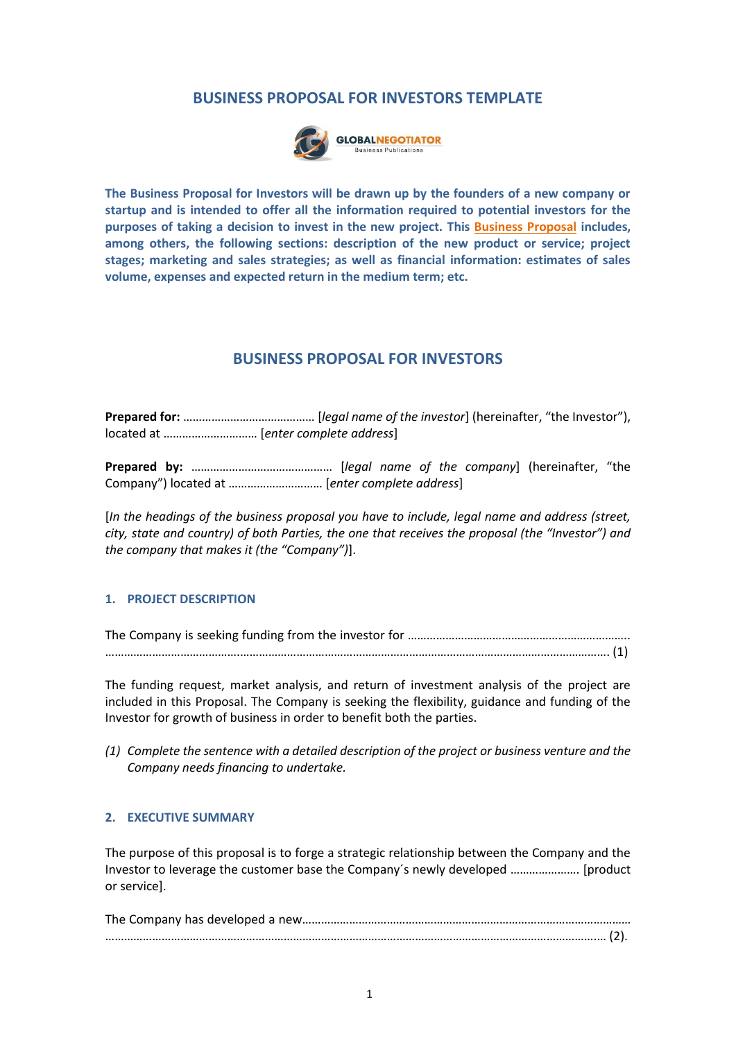#### **BUSINESS PROPOSAL FOR INVESTORS TEMPLATE**



**The Business Proposal for Investors will be drawn up by the founders of a new company or startup and is intended to offer all the information required to potential investors for the purposes of taking a decision to invest in the new project. This [Business Proposal](https://www.globalnegotiator.com/en/business-proposal-investors-template-presentation) includes, among others, the following sections: description of the new product or service; project stages; marketing and sales strategies; as well as financial information: estimates of sales volume, expenses and expected return in the medium term; etc.**

#### **BUSINESS PROPOSAL FOR INVESTORS**

**Prepared for:** …………………………………… [*legal name of the investor*] (hereinafter, "the Investor"), located at ………………………… [*enter complete address*]

**Prepared by:** ……………………………………… [*legal name of the company*] (hereinafter, "the Company") located at ………………………… [*enter complete address*]

[*In the headings of the business proposal you have to include, legal name and address (street, city, state and country) of both Parties, the one that receives the proposal (the "Investor") and the company that makes it (the "Company")*].

#### **1. PROJECT DESCRIPTION**

The Company is seeking funding from the investor for ………………………………………………………………………… …………………………………….………………………………………………………………………………………………………. (1)

The funding request, market analysis, and return of investment analysis of the project are included in this Proposal. The Company is seeking the flexibility, guidance and funding of the Investor for growth of business in order to benefit both the parties.

*(1) Complete the sentence with a detailed description of the project or business venture and the Company needs financing to undertake.*

#### **2. EXECUTIVE SUMMARY**

The purpose of this proposal is to forge a strategic relationship between the Company and the Investor to leverage the customer base the Company´s newly developed …………………. [product or service].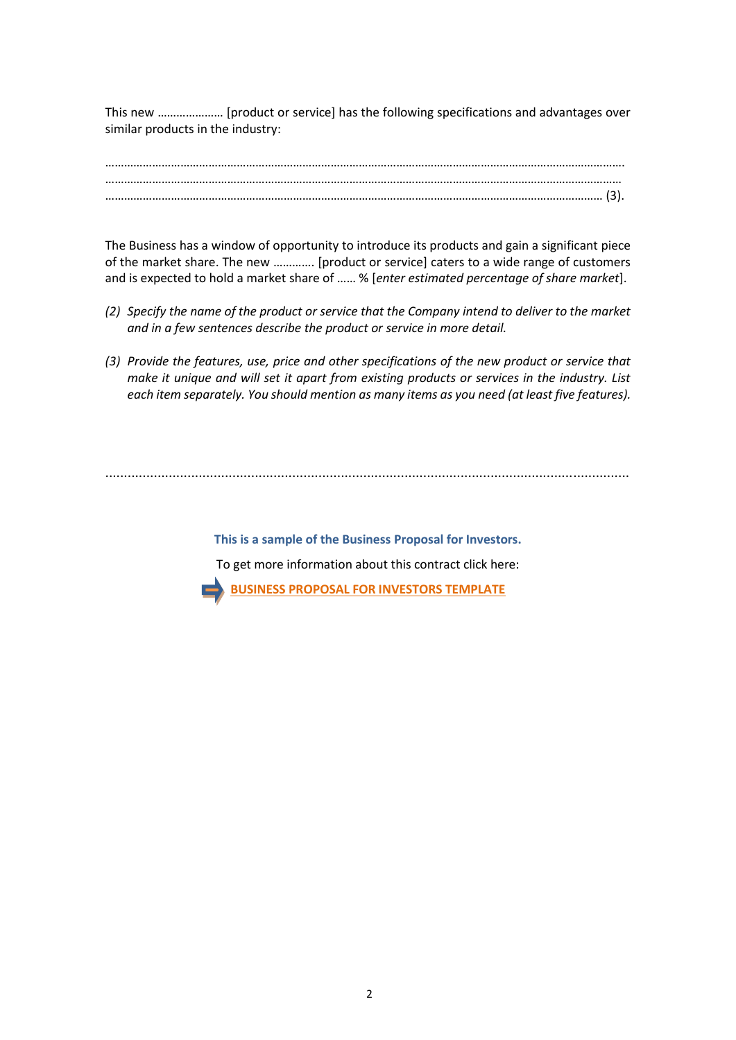This new ………………… [product or service] has the following specifications and advantages over similar products in the industry:

…………………………………………………………………………………………………………………………………………………. ………………………………………………………………………………………………………………………………………………… …………………………………………………………………………………………………………………………………………… (3).

The Business has a window of opportunity to introduce its products and gain a significant piece of the market share. The new …………. [product or service] caters to a wide range of customers and is expected to hold a market share of …… % [*enter estimated percentage of share market*].

- *(2) Specify the name of the product or service that the Company intend to deliver to the market and in a few sentences describe the product or service in more detail.*
- *(3) Provide the features, use, price and other specifications of the new product or service that make it unique and will set it apart from existing products or services in the industry. List each item separately. You should mention as many items as you need (at least five features).*

............................................................................................................................................

**This is a sample of the Business Proposal for Investors.** To get more information about this contract click here: **[BUSINESS PROPOSAL FOR INVESTORS TEMPLATE](https://www.globalnegotiator.com/en/business-proposal-investors-template-presentation)**